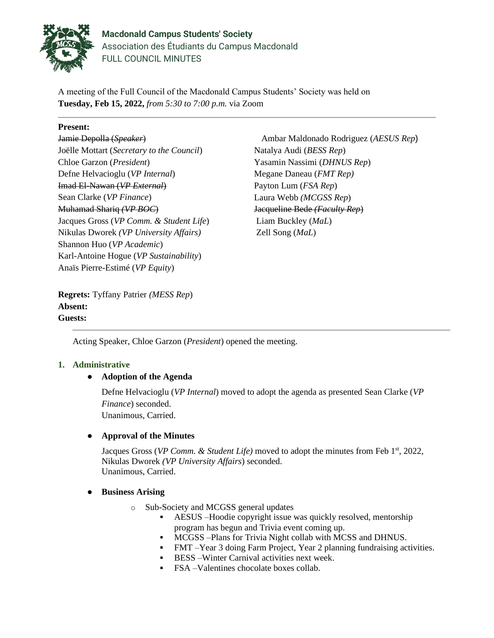

**Macdonald Campus Students' Society** Association des Étudiants du Campus Macdonald FULL COUNCIL MINUTES

A meeting of the Full Council of the Macdonald Campus Students' Society was held on **Tuesday, Feb 15, 2022,** *from 5:30 to 7:00 p.m.* via Zoom

## **Present:**

Jamie Depolla (*Speaker*) Joëlle Mottart (*Secretary to the Council*) Chloe Garzon (*President*) Defne Helvacioglu (*VP Internal*) Imad El-Nawan (*VP External*) Sean Clarke (*VP Finance*) Muhamad Shariq *(VP BOC*) Jacques Gross (*VP Comm. & Student Life*) Nikulas Dworek *(VP University Affairs)* Shannon Huo (*VP Academic*) Karl-Antoine Hogue (*VP Sustainability*) Anaïs Pierre-Estimé (*VP Equity*)

Ambar Maldonado Rodriguez (*AESUS Rep*) Natalya Audi (*BESS Rep*) Yasamin Nassimi (*DHNUS Rep*) Megane Daneau (*FMT Rep)* Payton Lum (*FSA Rep*) Laura Webb *(MCGSS Rep*) Jacqueline Bede *(Faculty Rep*) Liam Buckley (*MaL*) Zell Song (*MaL*)

**Regrets:** Tyffany Patrier *(MESS Rep*) **Absent: Guests:** 

Acting Speaker, Chloe Garzon (*President*) opened the meeting.

# **1. Administrative**

# ● **Adoption of the Agenda**

Defne Helvacioglu (*VP Internal*) moved to adopt the agenda as presented Sean Clarke (*VP Finance*) seconded. Unanimous, Carried.

# ● **Approval of the Minutes**

Jacques Gross (*VP Comm. & Student Life*) moved to adopt the minutes from Feb 1<sup>st</sup>, 2022, Nikulas Dworek *(VP University Affairs*) seconded. Unanimous, Carried.

### ● **Business Arising**

- o Sub-Society and MCGSS general updates
	- AESUS –Hoodie copyright issue was quickly resolved, mentorship program has begun and Trivia event coming up.
	- MCGSS –Plans for Trivia Night collab with MCSS and DHNUS.
	- FMT –Year 3 doing Farm Project, Year 2 planning fundraising activities.
	- **EXECUTE:** BESS Winter Carnival activities next week.
	- FSA –Valentines chocolate boxes collab.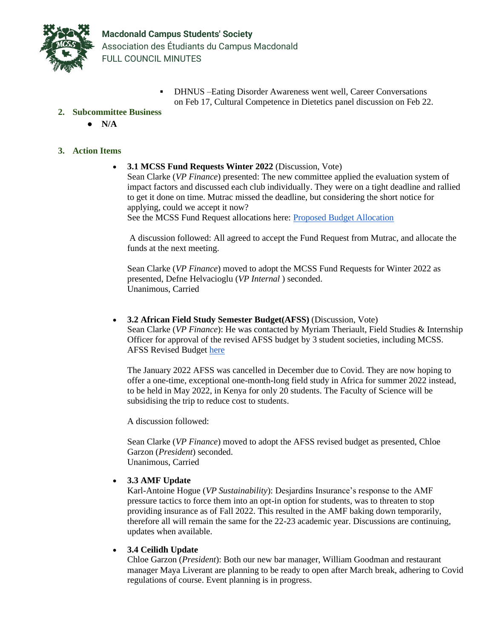

DHNUS –Eating Disorder Awareness went well, Career Conversations on Feb 17, Cultural Competence in Dietetics panel discussion on Feb 22.

## **2. Subcommittee Business**

● **N/A**

## **3. Action Items**

• **3.1 MCSS Fund Requests Winter 2022** (Discussion, Vote) Sean Clarke (*VP Finance*) presented: The new committee applied the evaluation system of impact factors and discussed each club individually. They were on a tight deadline and rallied to get it done on time. Mutrac missed the deadline, but considering the short notice for applying, could we accept it now? See the MCSS Fund Request allocations here: [Proposed Budget Allocation](https://docs.google.com/spreadsheets/d/1s9r3KHPxsDJzyPpVBSD63WTKF5xlOv_-OOfJ9u9LI_A/edit)

A discussion followed: All agreed to accept the Fund Request from Mutrac, and allocate the funds at the next meeting.

Sean Clarke (*VP Finance*) moved to adopt the MCSS Fund Requests for Winter 2022 as presented, Defne Helvacioglu (*VP Internal* ) seconded. Unanimous, Carried

• **3.2 African Field Study Semester Budget(AFSS)** (Discussion, Vote) Sean Clarke (*VP Finance*): He was contacted by Myriam Theriault, Field Studies & Internship Officer for approval of the revised AFSS budget by 3 student societies, including MCSS. AFSS Revised Budget [here](https://drive.google.com/drive/folders/19vtDtdiAhl8XjFaOBleM9X-UZe3ueb-B?usp=sharing)

The January 2022 AFSS was cancelled in December due to Covid. They are now hoping to offer a one-time, exceptional one-month-long field study in Africa for summer 2022 instead, to be held in May 2022, in Kenya for only 20 students. The Faculty of Science will be subsidising the trip to reduce cost to students.

A discussion followed:

Sean Clarke (*VP Finance*) moved to adopt the AFSS revised budget as presented, Chloe Garzon (*President*) seconded. Unanimous, Carried

### • **3.3 AMF Update**

Karl-Antoine Hogue (*VP Sustainability*): Desjardins Insurance's response to the AMF pressure tactics to force them into an opt-in option for students, was to threaten to stop providing insurance as of Fall 2022. This resulted in the AMF baking down temporarily, therefore all will remain the same for the 22-23 academic year. Discussions are continuing, updates when available.

## • **3.4 Ceilidh Update**

Chloe Garzon (*President*): Both our new bar manager, William Goodman and restaurant manager Maya Liverant are planning to be ready to open after March break, adhering to Covid regulations of course. Event planning is in progress.